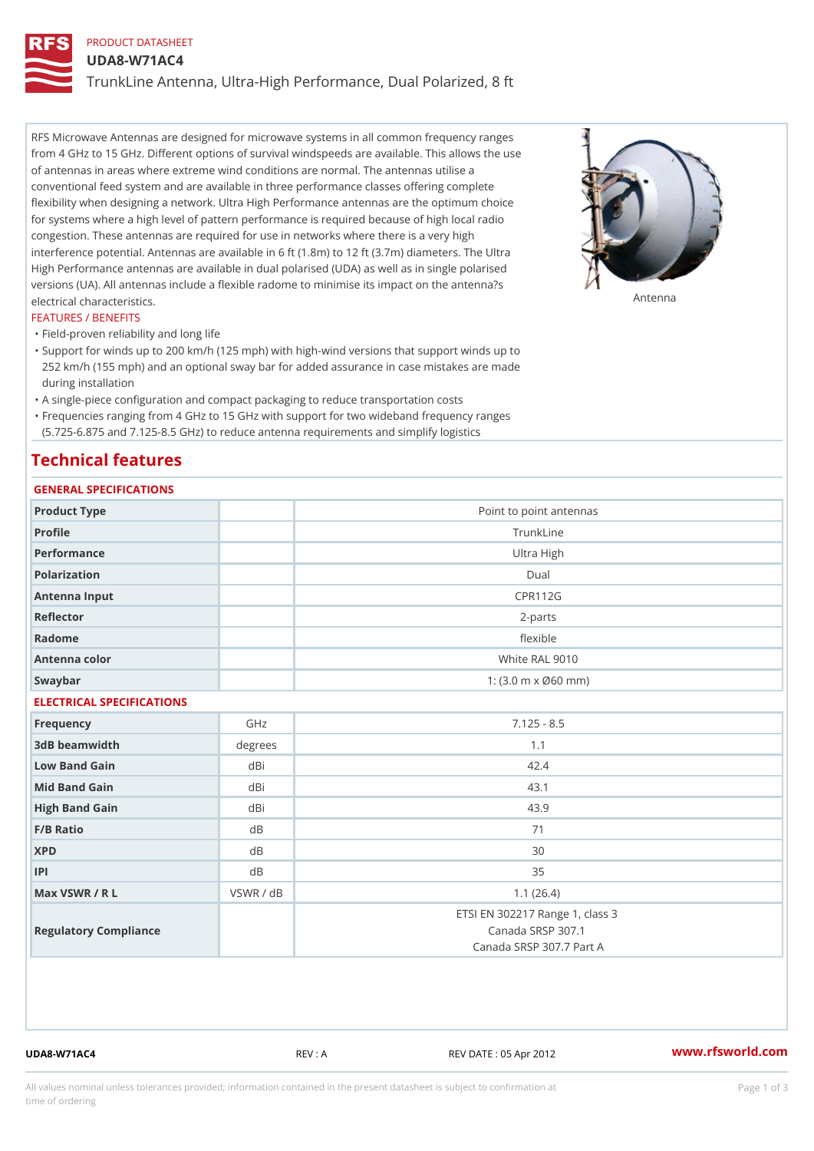# PRODUCT DATASHEET

UDA8-W71AC4

TrunkLine Antenna, Ultra-High Performance, Dual Polarized, 8 ft

RFS Microwave Antennas are designed for microwave systems in all common frequency ranges from 4 GHz to 15 GHz. Different options of survival windspeeds are available. This allows the use of antennas in areas where extreme wind conditions are normal. The antennas utilise a conventional feed system and are available in three performance classes offering complete flexibility when designing a network. Ultra High Performance antennas are the optimum choice for systems where a high level of pattern performance is required because of high local radio congestion. These antennas are required for use in networks where there is a very high interference potential. Antennas are available in 6 ft (1.8m) to 12 ft (3.7m) diameters. The Ultra High Performance antennas are available in dual polarised (UDA) as well as in single polarised versions (UA). All antennas include a flexible radome to minimise its impact on the antenna?s electrical characteristics. Antenna

#### FEATURES / BENEFITS

"Field-proven reliability and long life

- Support for winds up to 200 km/h (125 mph) with high-wind versions that support winds up to " 252 km/h (155 mph) and an optional sway bar for added assurance in case mistakes are made during installation
- "A single-piece configuration and compact packaging to reduce transportation costs
- Frequencies ranging from 4 GHz to 15 GHz with support for two wideband frequency ranges "
- (5.725-6.875 and 7.125-8.5 GHz) to reduce antenna requirements and simplify logistics

# Technical features

# GENERAL SPECIFICATIONS

| Point to point antennas                                                          |  |  |  |  |  |  |
|----------------------------------------------------------------------------------|--|--|--|--|--|--|
| TrunkLine                                                                        |  |  |  |  |  |  |
| Ultra High                                                                       |  |  |  |  |  |  |
| $D$ ual                                                                          |  |  |  |  |  |  |
| <b>CPR112G</b>                                                                   |  |  |  |  |  |  |
| $2 - p$ arts                                                                     |  |  |  |  |  |  |
| flexible                                                                         |  |  |  |  |  |  |
| White RAL 9010                                                                   |  |  |  |  |  |  |
| 1: $(3.0 \, \text{m} \times \emptyset 60 \, \text{mm})$                          |  |  |  |  |  |  |
| ELECTRICAL SPECIFICATIONS                                                        |  |  |  |  |  |  |
| $7.125 - 8.5$                                                                    |  |  |  |  |  |  |
| 1.1                                                                              |  |  |  |  |  |  |
| 42.4                                                                             |  |  |  |  |  |  |
| 43.1                                                                             |  |  |  |  |  |  |
| 43.9                                                                             |  |  |  |  |  |  |
| 71                                                                               |  |  |  |  |  |  |
| 30                                                                               |  |  |  |  |  |  |
| 35                                                                               |  |  |  |  |  |  |
| 1.1(26.4)                                                                        |  |  |  |  |  |  |
| ETSI EN 302217 Range 1, class 3<br>Canada SRSP 307.1<br>Canada SRSP 307.7 Part A |  |  |  |  |  |  |
|                                                                                  |  |  |  |  |  |  |

UDA8-W71AC4 REV : A REV DATE : 05 Apr 2012 [www.](https://www.rfsworld.com)rfsworld.com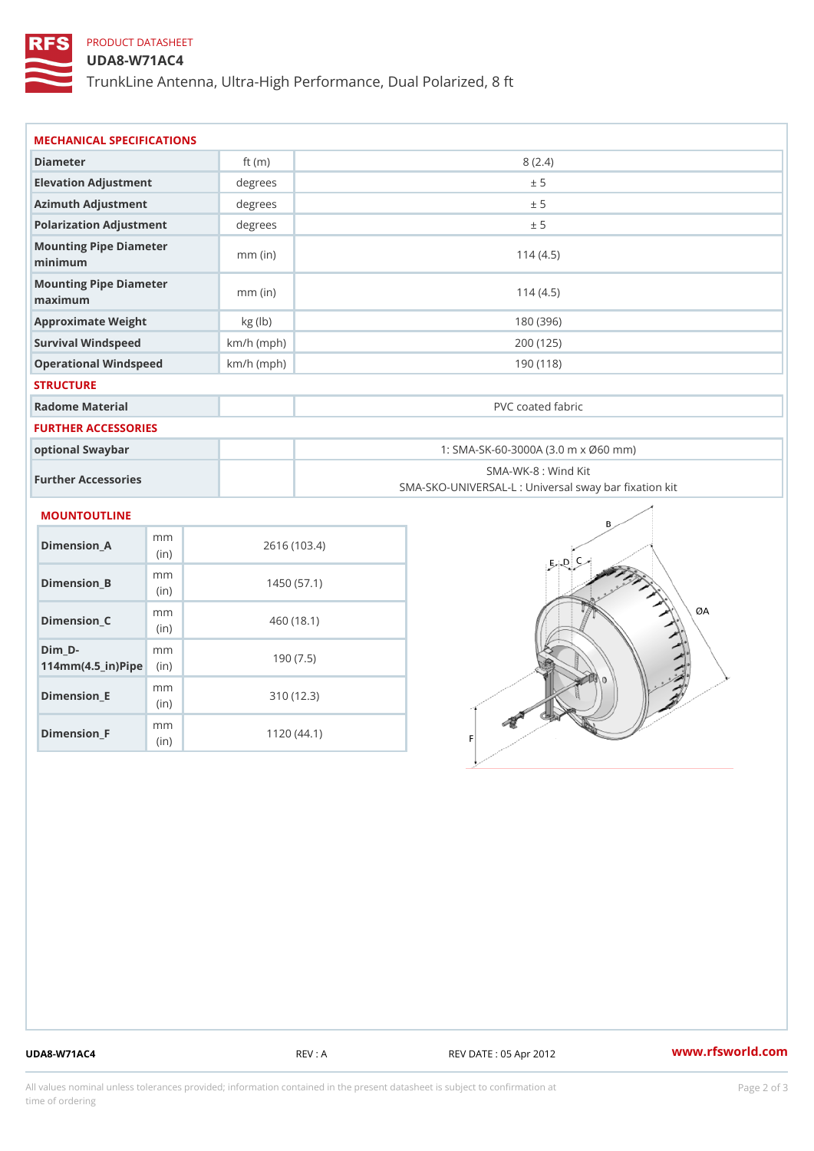# PRODUCT DATASHEET

## UDA8-W71AC4

TrunkLine Antenna, Ultra-High Performance, Dual Polarized, 8 ft

| MECHANICAL SPECIFICATIONS                             |             |              |                                                                          |  |  |  |
|-------------------------------------------------------|-------------|--------------|--------------------------------------------------------------------------|--|--|--|
| Diameter                                              |             | ft $(m)$     | 8(2.4)                                                                   |  |  |  |
| Elevation Adjustment                                  |             | degrees      | ± 5                                                                      |  |  |  |
| Azimuth Adjustment                                    |             | degrees      | ± 5                                                                      |  |  |  |
| Polarization Adjustment                               |             | degrees      | ± 5                                                                      |  |  |  |
| Mounting Pipe Diameter<br>minimum                     |             | $mm$ (in)    | 114(4.5)                                                                 |  |  |  |
| Mounting Pipe Diameter<br>maximum                     |             | $mm$ (in)    | 114(4.5)                                                                 |  |  |  |
| Approximate Weight                                    |             | kg (lb)      | 180 (396)                                                                |  |  |  |
| Survival Windspeed                                    |             | $km/h$ (mph) | 200 (125)                                                                |  |  |  |
| Operational Windspeed                                 |             | $km/h$ (mph) | 190(118)                                                                 |  |  |  |
| <b>STRUCTURE</b>                                      |             |              |                                                                          |  |  |  |
| Radome Material                                       |             |              | PVC coated fabric                                                        |  |  |  |
| <b>FURTHER ACCESSORIES</b>                            |             |              |                                                                          |  |  |  |
| optional Swaybar                                      |             |              | 1: SMA-SK-60-3000A (3.0 m x Ø60 mm)                                      |  |  |  |
| Further Accessories                                   |             |              | SMA-WK-8 : Wind Kit<br>SMA-SKO-UNIVERSAL-L : Universal sway bar fixation |  |  |  |
| MOUNTOUTLINE                                          |             |              |                                                                          |  |  |  |
| $Dimension_A$                                         | m m<br>(in) |              | 2616 (103.4)                                                             |  |  |  |
| Dimension_B                                           | m m<br>(in) |              | 1450(57.1)                                                               |  |  |  |
| $Dimension_C$                                         | m m<br>(in) |              | 460 (18.1)                                                               |  |  |  |
| $Dim_D - D -$<br>$114$ m m (4.5 _ ir ) $\sqrt{$ imple | m m         |              | 190(7.5)                                                                 |  |  |  |
|                                                       |             |              |                                                                          |  |  |  |

Dimension\_E

Dimension\_F

mm (in)

m<sub>m</sub> (in)

310 (12.3)

1120 (44.1)

UDA8-W71AC4 REV : A REV DATE : 05 Apr 2012 [www.](https://www.rfsworld.com)rfsworld.com